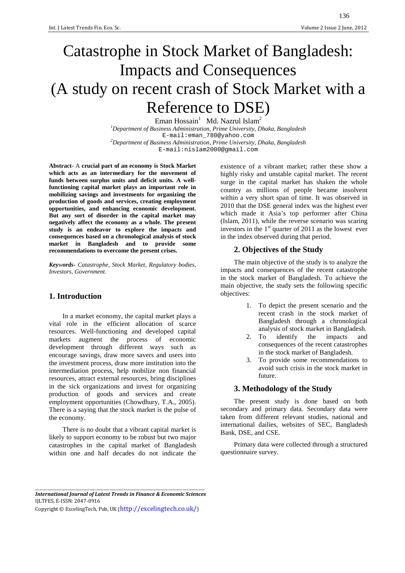# Catastrophe in Stock Market of Bangladesh: Impacts and Consequences (A study on recent crash of Stock Market with a Reference to DSE)

Eman Hossain<sup>1</sup> Md. Nazrul Islam<sup>2</sup> *<sup>1</sup>Department of Business Administration, Prime University, Dhaka, Bangladesh*  E-mail:eman\_780@yahoo.com *<sup>2</sup>Department of Business Administration, Prime University, Dhaka, Bangladesh*  E-mail:nislam2000@gmail.com

**Abstract**- A **crucial part of an economy is Stock Market which acts as an intermediary for the movement of funds between surplus units and deficit units. A wellfunctioning capital market plays an important role in mobilizing savings and investments for organizing the production of goods and services, creating employment opportunities, and enhancing economic development. But any sort of disorder in the capital market may negatively affect the economy as a whole. The present study is an endeavor to explore the impacts and consequences based on a chronological analysis of stock market in Bangladesh and to provide some recommendations to overcome the present crises.** 

*Keywords*- *Catastrophe, Stock Market, Regulatory bodies, Investors, Government.* 

## **1. Introduction**

In a market economy, the capital market plays a vital role in the efficient allocation of scarce resources. Well-functioning and developed capital markets augment the process of economic development through different ways such as encourage savings, draw more savers and users into the investment process, draw more institution into the intermediation process, help mobilize non financial resources, attract external resources, bring disciplines in the sick organizations and invest for organizing production of goods and services and create employment opportunities (Chowdhury, T.A., 2005). There is a saying that the stock market is the pulse of the economy.

There is no doubt that a vibrant capital market is likely to support economy to be robust but two major catastrophes in the capital market of Bangladesh within one and half decades do not indicate the

existence of a vibrant market; rather these show a highly risky and unstable capital market. The recent surge in the capital market has shaken the whole country as millions of people became insolvent within a very short span of time. It was observed in 2010 that the DSE general index was the highest ever which made it Asia's top performer after China (Islam, 2011), while the reverse scenario was scaring investors in the  $1<sup>st</sup>$  quarter of 2011 as the lowest ever in the index observed during that period.

## **2. Objectives of the Study**

The main objective of the study is to analyze the impacts and consequences of the recent catastrophe in the stock market of Bangladesh. To achieve the main objective, the study sets the following specific objectives:

- 1. To depict the present scenario and the recent crash in the stock market of Bangladesh through a chronological analysis of stock market in Bangladesh.
- 2. To identify the impacts and consequences of the recent catastrophes in the stock market of Bangladesh.
- 3. To provide some recommendations to avoid such crisis in the stock market in future.

## **3. Methodology of the Study**

The present study is done based on both secondary and primary data. Secondary data were taken from different relevant studies, national and international dailies, websites of SEC, Bangladesh Bank, DSE, and CSE.

Primary data were collected through a structured questionnaire survey.

\_\_\_\_\_\_\_\_\_\_\_\_\_\_\_\_\_\_\_\_\_\_\_\_\_\_\_\_\_\_\_\_\_\_\_\_\_\_\_\_\_\_\_\_\_\_\_\_\_\_\_\_\_\_\_\_\_\_\_\_\_\_\_\_\_\_\_\_\_\_\_\_\_\_\_\_\_\_\_\_\_\_\_\_ *International Journal of Latest Trends in Finance & Economic Sciences*  IJLTFES, E-ISSN: 2047-0916

Copyright © ExcelingTech, Pub, UK (http://excelingtech.co.uk/)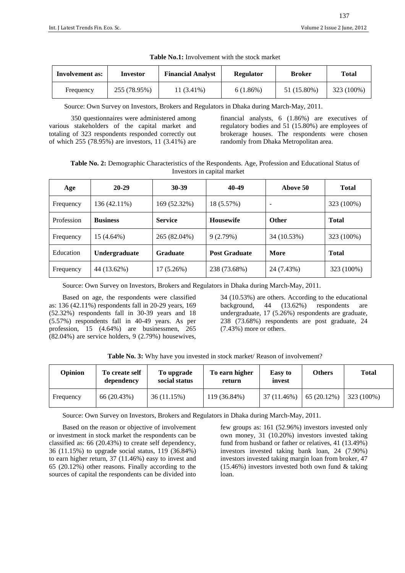| <b>Involvement as:</b> | <b>Financial Analyst</b><br>Investor |            | <b>Regulator</b> | <b>Broker</b> | <b>Total</b> |
|------------------------|--------------------------------------|------------|------------------|---------------|--------------|
| Frequency              | 255 (78.95%)                         | 11 (3.41%) | 6(1.86%)         | 51 (15.80%)   | 323 (100%)   |

Source: Own Survey on Investors, Brokers and Regulators in Dhaka during March-May, 2011.

 350 questionnaires were administered among various stakeholders of the capital market and totaling of 323 respondents responded correctly out of which 255 (78.95%) are investors, 11 (3.41%) are financial analysts, 6 (1.86%) are executives of regulatory bodies and 51 (15.80%) are employees of brokerage houses. The respondents were chosen randomly from Dhaka Metropolitan area.

**Table No. 2:** Demographic Characteristics of the Respondents. Age, Profession and Educational Status of Investors in capital market

| Age        | $20 - 29$       | $30 - 39$       | 40-49                | Above 50                 | <b>Total</b> |
|------------|-----------------|-----------------|----------------------|--------------------------|--------------|
| Frequency  | 136 (42.11%)    | 169 (52.32%)    | 18 (5.57%)           | $\overline{\phantom{0}}$ | 323 (100%)   |
| Profession | <b>Business</b> | <b>Service</b>  | <b>Housewife</b>     | <b>Other</b>             | <b>Total</b> |
| Frequency  | 15 (4.64%)      | 265 (82.04%)    | 9(2.79%)             | 34 (10.53%)              | 323 (100%)   |
| Education  | Undergraduate   | <b>Graduate</b> | <b>Post Graduate</b> | More                     | <b>Total</b> |
| Frequency  | 44 (13.62%)     | 17(5.26%)       | 238 (73.68%)         | 24 (7.43%)               | 323 (100%)   |

Source: Own Survey on Investors, Brokers and Regulators in Dhaka during March-May, 2011.

Based on age, the respondents were classified as: 136 (42.11%) respondents fall in 20-29 years, 169 (52.32%) respondents fall in 30-39 years and 18 (5.57%) respondents fall in 40-49 years. As per profession, 15 (4.64%) are businessmen, 265 (82.04%) are service holders, 9 (2.79%) housewives,

34 (10.53%) are others. According to the educational background, 44 (13.62%) respondents are undergraduate, 17 (5.26%) respondents are graduate, 238 (73.68%) respondents are post graduate, 24 (7.43%) more or others.

|  |  |  | Table No. 3: Why have you invested in stock market/ Reason of involvement? |  |  |
|--|--|--|----------------------------------------------------------------------------|--|--|
|--|--|--|----------------------------------------------------------------------------|--|--|

| <b>Opinion</b> | To create self<br>dependency | To upgrade<br>social status | To earn higher<br>return | Easy to<br>invest | <b>Others</b> | Total      |
|----------------|------------------------------|-----------------------------|--------------------------|-------------------|---------------|------------|
| Frequency      | 66 (20.43%)                  | 36 (11.15%)                 | 119 (36.84%)             | 37 (11.46%)       | $65(20.12\%)$ | 323 (100%) |

Source: Own Survey on Investors, Brokers and Regulators in Dhaka during March-May, 2011.

Based on the reason or objective of involvement or investment in stock market the respondents can be classified as: 66 (20.43%) to create self dependency, 36 (11.15%) to upgrade social status, 119 (36.84%) to earn higher return, 37 (11.46%) easy to invest and 65 (20.12%) other reasons. Finally according to the sources of capital the respondents can be divided into few groups as: 161 (52.96%) investors invested only own money, 31 (10.20%) investors invested taking fund from husband or father or relatives, 41 (13.49%) investors invested taking bank loan, 24 (7.90%) investors invested taking margin loan from broker, 47  $(15.46\%)$  investors invested both own fund & taking loan.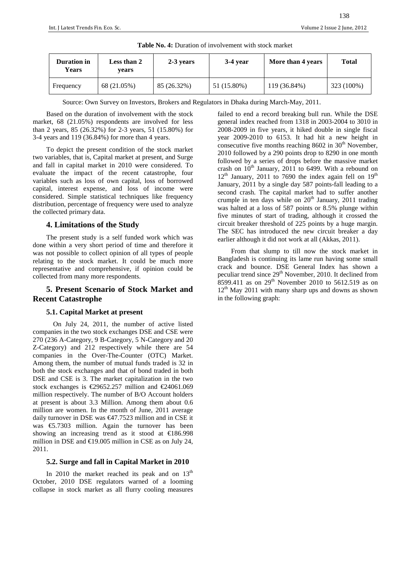| Duration in<br>Years | Less than 2<br>vears | 2-3 years   | $3-4$ year  | More than 4 years | Total      |
|----------------------|----------------------|-------------|-------------|-------------------|------------|
| Frequency            | 68 (21.05%)          | 85 (26.32%) | 51 (15.80%) | 119 (36.84%)      | 323 (100%) |

**Table No. 4:** Duration of involvement with stock market

Source: Own Survey on Investors, Brokers and Regulators in Dhaka during March-May, 2011.

Based on the duration of involvement with the stock market, 68 (21.05%) respondents are involved for less than 2 years, 85 (26.32%) for 2-3 years, 51 (15.80%) for 3-4 years and 119 (36.84%) for more than 4 years.

To depict the present condition of the stock market two variables, that is, Capital market at present, and Surge and fall in capital market in 2010 were considered. To evaluate the impact of the recent catastrophe, four variables such as loss of own capital, loss of borrowed capital, interest expense, and loss of income were considered. Simple statistical techniques like frequency distribution, percentage of frequency were used to analyze the collected primary data.

## **4. Limitations of the Study**

The present study is a self funded work which was done within a very short period of time and therefore it was not possible to collect opinion of all types of people relating to the stock market. It could be much more representative and comprehensive, if opinion could be collected from many more respondents.

# **5. Present Scenario of Stock Market and Recent Catastrophe**

## **5.1. Capital Market at present**

 On July 24, 2011, the number of active listed companies in the two stock exchanges DSE and CSE were 270 (236 A-Category, 9 B-Category, 5 N-Category and 20 Z-Category) and 212 respectively while there are 54 companies in the Over-The-Counter (OTC) Market. Among them, the number of mutual funds traded is 32 in both the stock exchanges and that of bond traded in both DSE and CSE is 3. The market capitalization in the two stock exchanges is  $\epsilon$ 29652.257 million and  $\epsilon$ 24061.00 million respectively. The number of B/O Account holders at present is about 3.3 Million. Among them about 0.6 million are women. In the month of June, 2011 average daily turnover in DSE was  $\epsilon$ 47.7523 million and in CSE it was €5.7303 million. Again the turnover has been showing an increasing trend as it stood at €186.998 million in DSE and  $\text{\textsterling}19.005$  million in CSE as on July 24, 2011.

## **5.2. Surge and fall in Capital Market in 2010**

In 2010 the market reached its peak and on  $13<sup>th</sup>$ October, 2010 DSE regulators warned of a looming collapse in stock market as all flurry cooling measures failed to end a record breaking bull run. While the DSE general index reached from 1318 in 2003-2004 to 3010 in 2008-2009 in five years, it hiked double in single fiscal year 2009-2010 to 6153. It had hit a new height in consecutive five months reaching  $8602$  in  $30<sup>th</sup>$  November, 2010 followed by a 290 points drop to 8290 in one month followed by a series of drops before the massive market crash on  $10^{th}$  January, 2011 to 6499. With a rebound on  $12<sup>th</sup>$  January, 2011 to 7690 the index again fell on  $19<sup>th</sup>$ January, 2011 by a single day 587 points-fall leading to a second crash. The capital market had to suffer another crumple in ten days while on  $20<sup>th</sup>$  January, 2011 trading was halted at a loss of 587 points or 8.5% plunge within five minutes of start of trading, although it crossed the circuit breaker threshold of 225 points by a huge margin. The SEC has introduced the new circuit breaker a day earlier although it did not work at all (Akkas, 2011).

From that slump to till now the stock market in Bangladesh is continuing its lame run having some small crack and bounce. DSE General Index has shown a peculiar trend since 29<sup>th</sup> November, 2010. It declined from 8599.411 as on  $29^{th}$  November 2010 to 5612.519 as on  $12<sup>th</sup>$  May 2011 with many sharp ups and downs as shown in the following graph: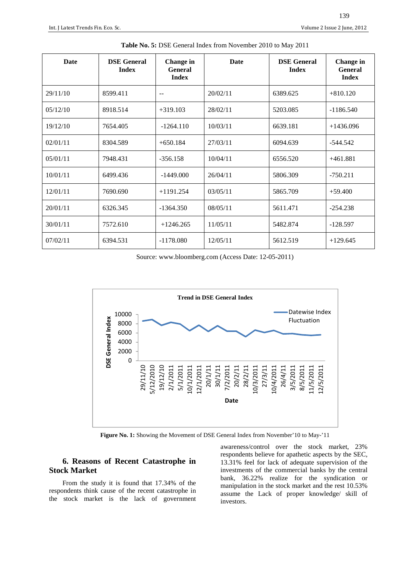| Date     | <b>DSE</b> General<br><b>Index</b> | Change in<br><b>General</b><br><b>Index</b> | Date     | <b>DSE</b> General<br><b>Index</b> | Change in<br><b>General</b><br><b>Index</b> |
|----------|------------------------------------|---------------------------------------------|----------|------------------------------------|---------------------------------------------|
| 29/11/10 | 8599.411                           | $-$                                         | 20/02/11 | 6389.625                           | $+810.120$                                  |
| 05/12/10 | 8918.514                           | $+319.103$                                  | 28/02/11 | 5203.085                           | $-1186.540$                                 |
| 19/12/10 | 7654.405                           | $-1264.110$                                 | 10/03/11 | 6639.181                           | $+1436.096$                                 |
| 02/01/11 | 8304.589                           | $+650.184$                                  | 27/03/11 | 6094.639                           | $-544.542$                                  |
| 05/01/11 | 7948.431                           | $-356.158$                                  | 10/04/11 | 6556.520                           | $+461.881$                                  |
| 10/01/11 | 6499.436                           | $-1449.000$                                 | 26/04/11 | 5806.309                           | $-750.211$                                  |
| 12/01/11 | 7690.690                           | $+1191.254$                                 | 03/05/11 | 5865.709                           | $+59.400$                                   |
| 20/01/11 | 6326.345                           | $-1364.350$                                 | 08/05/11 | 5611.471                           | $-254.238$                                  |
| 30/01/11 | 7572.610                           | $+1246.265$                                 | 11/05/11 | 5482.874                           | $-128.597$                                  |
| 07/02/11 | 6394.531                           | $-1178.080$                                 | 12/05/11 | 5612.519                           | $+129.645$                                  |

**Table No. 5:** DSE General Index from November 2010 to May 2011

Source: www.bloomberg.com (Access Date: 12-05-2011)



**Figure No. 1:** Showing the Movement of DSE General Index from November'10 to May-'11

# **6. Reasons of Recent Catastrophe in Stock Market**

From the study it is found that 17.34% of the respondents think cause of the recent catastrophe in the stock market is the lack of government awareness/control over the stock market, 23% respondents believe for apathetic aspects by the SEC, 13.31% feel for lack of adequate supervision of the investments of the commercial banks by the central bank, 36.22% realize for the syndication or manipulation in the stock market and the rest 10.53% assume the Lack of proper knowledge/ skill of investors.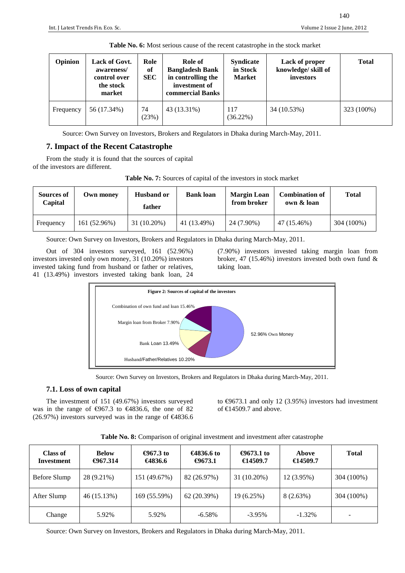| Table No. 6: Most serious cause of the recent catastrophe in the stock market |                                                                    |                          |                                                                                                     |                                               |                                                   |              |  |
|-------------------------------------------------------------------------------|--------------------------------------------------------------------|--------------------------|-----------------------------------------------------------------------------------------------------|-----------------------------------------------|---------------------------------------------------|--------------|--|
| Opinion                                                                       | Lack of Govt.<br>awareness/<br>control over<br>the stock<br>market | Role<br>of<br><b>SEC</b> | Role of<br><b>Bangladesh Bank</b><br>in controlling the<br>investment of<br><b>commercial Banks</b> | <b>Syndicate</b><br>in Stock<br><b>Market</b> | Lack of proper<br>knowledge/skill of<br>investors | <b>Total</b> |  |
| Frequency                                                                     | 56 (17.34%)                                                        | 74<br>(23%)              | 43 (13.31%)                                                                                         | 117<br>$(36.22\%)$                            | 34 (10.53%)                                       | 323 (100%)   |  |

Source: Own Survey on Investors, Brokers and Regulators in Dhaka during March-May, 2011.

# **7. Impact of the Recent Catastrophe**

From the study it is found that the sources of capital of the investors are different.

| Table No. 7: Sources of capital of the investors in stock market |
|------------------------------------------------------------------|
|------------------------------------------------------------------|

| <b>Sources of</b><br>Capital | Own monev    | <b>Husband or</b><br>father | <b>Bank loan</b> | <b>Margin Loan</b><br>from broker | <b>Combination of</b><br>own & loan | <b>Total</b> |
|------------------------------|--------------|-----------------------------|------------------|-----------------------------------|-------------------------------------|--------------|
| Frequency                    | 161 (52.96%) | 31 (10.20%)                 | 41 (13.49%)      | 24 (7.90%)                        | 47 (15.46%)                         | 304 (100%)   |

Source: Own Survey on Investors, Brokers and Regulators in Dhaka during March-May, 2011.

Out of 304 investors surveyed, 161 (52.96%) investors invested only own money, 31 (10.20%) investors invested taking fund from husband or father or relatives, 41 (13.49%) investors invested taking bank loan, 24 (7.90%) investors invested taking margin loan from broker, 47 (15.46%) investors invested both own fund & taking loan.



Source: Own Survey on Investors, Brokers and Regulators in Dhaka during March-May, 2011.

## **7.1. Loss of own capital**

The investment of 151 (49.67%) investors surveyed was in the range of  $\epsilon$ 967.3 to  $\epsilon$ 4836.6, the one of **8** (26.97%) investors surveyed was in the range of  $\epsilon$ 486.6 to  $\text{\textsterling}9673.1$  and only 12 (3.95%) investors had investment of  $€14509.7$  and above.

| Class of<br>Investment | <b>Below</b><br>€967.314 | €967.3 to<br>€4836.6 | €4836.6 to<br>€9673.1 | €9673.1 to<br>€14509.7 | Above<br>€14509.7 | <b>Total</b> |
|------------------------|--------------------------|----------------------|-----------------------|------------------------|-------------------|--------------|
| Before Slump           | 28 (9.21%)               | 151 (49.67%)         | 82 (26.97%)           | 31 (10.20%)            | 12 (3.95%)        | 304 (100%)   |
| After Slump            | 46 (15.13%)              | 169 (55.59%)         | 62(20.39%)            | 19 (6.25%)             | 8(2.63%)          | 304 (100%)   |
| Change                 | 5.92%                    | 5.92%                | $-6.58%$              | $-3.95%$               | $-1.32\%$         |              |

**Table No. 8:** Comparison of original investment and investment after catastrophe

Source: Own Survey on Investors, Brokers and Regulators in Dhaka during March-May, 2011.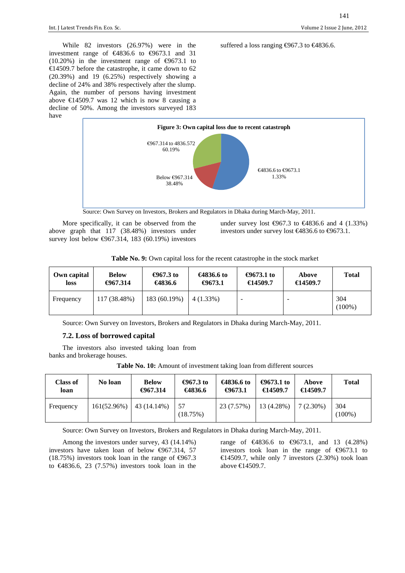While 82 investors (26.97%) were in the investment range of  $\epsilon$ 4836.6 to  $\epsilon$ 9673.1 and 31  $(10.20\%)$  in the investment range of  $\epsilon$ 9673.1 to €14509.7 before the catastrophe, it came down to 62 (20.39%) and 19 (6.25%) respectively showing a decline of 24% and 38% respectively after the slump. Again, the number of persons having investment above  $\text{\textsterling}14509.7$  was 12 which is now 8 causing a decline of 50%. Among the investors surveyed 183 have



Source: Own Survey on Investors, Brokers and Regulators in Dhaka during March-May, 2011.

More specifically, it can be observed from the above graph that 117 (38.48%) investors under survey lost below  $\text{\textsterling}967.314, 183$  (60.19%) investors under survey lost €967.3 to €4836.6 and 4 (1.33%) investors under survey lost €4836.6 to €9673.1.

suffered a loss ranging  $\text{\textsterling}967.3$  to  $\text{\textsterling}4836.6$ .

|  |  | Table No. 9: Own capital loss for the recent catastrophe in the stock market |  |  |
|--|--|------------------------------------------------------------------------------|--|--|
|--|--|------------------------------------------------------------------------------|--|--|

| Own capital | <b>Below</b> | €967.3 to    | €4836.6 to  | €9673.1 to | Above    | Total            |
|-------------|--------------|--------------|-------------|------------|----------|------------------|
| loss        | €967.314     | €4836.6      | €9673.1     | €14509.7   | €14509.7 |                  |
| Frequency   | 117 (38.48%) | 183 (60.19%) | $4(1.33\%)$ |            |          | 304<br>$(100\%)$ |

Source: Own Survey on Investors, Brokers and Regulators in Dhaka during March-May, 2011.

#### **7.2. Loss of borrowed capital**

The investors also invested taking loan from banks and brokerage houses.

| Table No. 10: Amount of investment taking loan from different sources |  |
|-----------------------------------------------------------------------|--|
|                                                                       |  |

| Class of<br>loan | No loan     | <b>Below</b><br>€967.314 | €967.3 to<br>€4836.6 | €4836.6 to<br>€9673.1 | €9673.1 to<br>€14509.7 | Above<br>€14509.7 | <b>Total</b>     |
|------------------|-------------|--------------------------|----------------------|-----------------------|------------------------|-------------------|------------------|
| Frequency        | 161(52.96%) | 43 (14.14%)              | 57<br>(18.75%)       | 23 (7.57%)            | 13 (4.28%)             | $7(2.30\%)$       | 304<br>$(100\%)$ |

Source: Own Survey on Investors, Brokers and Regulators in Dhaka during March-May, 2011.

Among the investors under survey, 43 (14.14%) investors have taken loan of below €967.314, 57 (18.75%) investors took loan in the range of  $\epsilon$ 967.3 to  $\in$ 4836.6, 23 (7.57%) investors took loan in the range of €4836.6 to €9673.1, and 13 (4.28%) investors took loan in the range of €9673.1 to €14509.7, while only 7 investors  $(2.30%)$  took loan above €14509.7.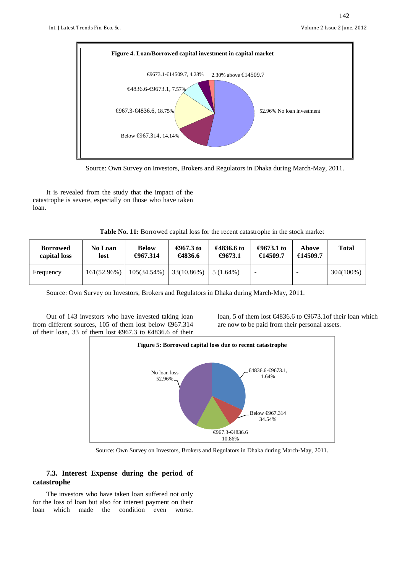

Source: Own Survey on Investors, Brokers and Regulators in Dhaka during March-May, 2011.

It is revealed from the study that the impact of the catastrophe is severe, especially on those who have taken loan.

**Table No. 11:** Borrowed capital loss for the recent catastrophe in the stock market

| <b>Borrowed</b> | <b>No Loan</b> | <b>Below</b> | €967.3 to  | €4836.6 to  | €9673.1 to               | Above    | <b>Total</b> |
|-----------------|----------------|--------------|------------|-------------|--------------------------|----------|--------------|
| capital loss    | lost           | €967.314     | €4836.6    | €9673.1     | €14509.7                 | €14509.7 |              |
| Frequency       | 161(52.96%)    | 105(34.54%)  | 33(10.86%) | $5(1.64\%)$ | $\overline{\phantom{a}}$ |          | 304(100%)    |

Source: Own Survey on Investors, Brokers and Regulators in Dhaka during March-May, 2011.

Out of 143 investors who have invested taking loan from different sources, 105 of them lost below  $\epsilon$ 967.314 of their loan, 33 of them lost €967.3 to €4836.6 of their loan, 5 of them lost €4836.6 to €9673.1of their loa which are now to be paid from their personal assets.



Source: Own Survey on Investors, Brokers and Regulators in Dhaka during March-May, 2011.

## **7.3. Interest Expense during the period of catastrophe**

The investors who have taken loan suffered not only for the loss of loan but also for interest payment on their loan which made the condition even worse.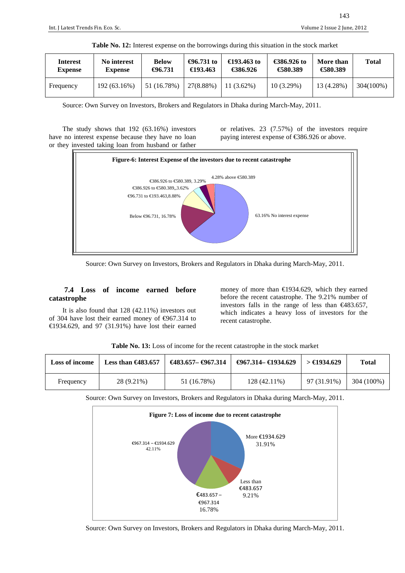| Interest       | No interest    | <b>Below</b> | €96.731 to | €193.463 to  | €386.926 to | More than  | <b>Total</b> |
|----------------|----------------|--------------|------------|--------------|-------------|------------|--------------|
| <b>Expense</b> | <b>Expense</b> | €96.731      | €193.463   | €386.926     | €580.389    | €580.389   |              |
| Frequency      | 192 (63.16%)   | 51 (16.78%)  | 27(8.88%)  | $11(3.62\%)$ | 10(3.29%)   | 13 (4.28%) | 304(100%)    |

| Table No. 12: Interest expense on the borrowings during this situation in the stock market |  |  |  |  |  |  |
|--------------------------------------------------------------------------------------------|--|--|--|--|--|--|
|                                                                                            |  |  |  |  |  |  |

Source: Own Survey on Investors, Brokers and Regulators in Dhaka during March-May, 2011.

The study shows that 192 (63.16%) investors have no interest expense because they have no loan or they invested taking loan from husband or father or relatives. 23 (7.57%) of the investors require paying interest expense of €386.926 or above.



Source: Own Survey on Investors, Brokers and Regulators in Dhaka during March-May, 2011.

## **7.4 Loss of income earned before catastrophe**

It is also found that 128 (42.11%) investors out of 304 have lost their earned money of €967.314 to €1934.629, and 97 (31.91%) have lost their earned money of more than  $\epsilon$ 1934.629, which they earned before the recent catastrophe. The 9.21% number of investors falls in the range of less than  $\epsilon$ 483.657, which indicates a heavy loss of investors for the recent catastrophe.

| <b>Loss of income</b> | Less than $\epsilon$ 483.657 | €483.657– €967.34 | $\downarrow$ $\in$ 967.314 $\in$ 1934.629 | >€1934.629  | <b>Total</b> |
|-----------------------|------------------------------|-------------------|-------------------------------------------|-------------|--------------|
| Frequency             | 28 (9.21%)                   | 51 (16.78%)       | $128(42.11\%)$                            | 97 (31.91%) | 304 (100%)   |

**Table No. 13:** Loss of income for the recent catastrophe in the stock market

Source: Own Survey on Investors, Brokers and Regulators in Dhaka during March-May, 2011.



Source: Own Survey on Investors, Brokers and Regulators in Dhaka during March-May, 2011.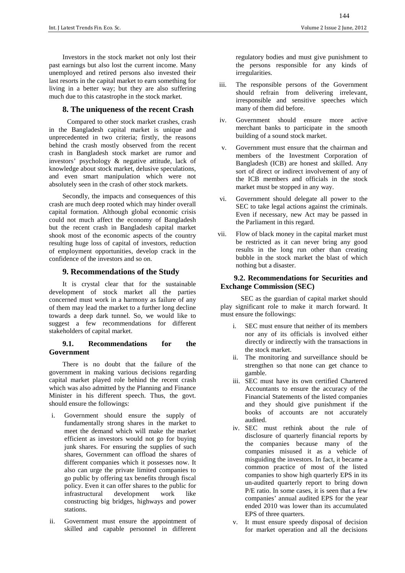Investors in the stock market not only lost their past earnings but also lost the current income. Many unemployed and retired persons also invested their last resorts in the capital market to earn something for living in a better way; but they are also suffering much due to this catastrophe in the stock market.

# **8. The uniqueness of the recent Crash**

 Compared to other stock market crashes, crash in the Bangladesh capital market is unique and unprecedented in two criteria; firstly, the reasons behind the crash mostly observed from the recent crash in Bangladesh stock market are rumor and investors' psychology & negative attitude, lack of knowledge about stock market, delusive speculations, and even smart manipulation which were not absolutely seen in the crash of other stock markets.

Secondly, the impacts and consequences of this crash are much deep rooted which may hinder overall capital formation. Although global economic crisis could not much affect the economy of Bangladesh but the recent crash in Bangladesh capital market shook most of the economic aspects of the country resulting huge loss of capital of investors, reduction of employment opportunities, develop crack in the confidence of the investors and so on.

## **9. Recommendations of the Study**

It is crystal clear that for the sustainable development of stock market all the parties concerned must work in a harmony as failure of any of them may lead the market to a further long decline towards a deep dark tunnel. So, we would like to suggest a few recommendations for different stakeholders of capital market.

#### **9.1. Recommendations for the Government**

There is no doubt that the failure of the government in making various decisions regarding capital market played role behind the recent crash which was also admitted by the Planning and Finance Minister in his different speech. Thus, the govt. should ensure the followings:

- i. Government should ensure the supply of fundamentally strong shares in the market to meet the demand which will make the market efficient as investors would not go for buying junk shares. For ensuring the supplies of such shares, Government can offload the shares of different companies which it possesses now. It also can urge the private limited companies to go public by offering tax benefits through fiscal policy. Even it can offer shares to the public for infrastructural development work like constructing big bridges, highways and power stations.
- ii. Government must ensure the appointment of skilled and capable personnel in different

regulatory bodies and must give punishment to the persons responsible for any kinds of irregularities.

- iii. The responsible persons of the Government should refrain from delivering irrelevant, irresponsible and sensitive speeches which many of them did before.
- iv. Government should ensure more active merchant banks to participate in the smooth building of a sound stock market.
- v. Government must ensure that the chairman and members of the Investment Corporation of Bangladesh (ICB) are honest and skilled. Any sort of direct or indirect involvement of any of the ICB members and officials in the stock market must be stopped in any way.
- vi. Government should delegate all power to the SEC to take legal actions against the criminals. Even if necessary, new Act may be passed in the Parliament in this regard.
- vii. Flow of black money in the capital market must be restricted as it can never bring any good results in the long run other than creating bubble in the stock market the blast of which nothing but a disaster.

#### **9.2. Recommendations for Securities and Exchange Commission (SEC)**

 SEC as the guardian of capital market should play significant role to make it march forward. It must ensure the followings:

- i. SEC must ensure that neither of its members nor any of its officials is involved either directly or indirectly with the transactions in the stock market.
- ii. The monitoring and surveillance should be strengthen so that none can get chance to gamble.
- iii. SEC must have its own certified Chartered Accountants to ensure the accuracy of the Financial Statements of the listed companies and they should give punishment if the books of accounts are not accurately audited.
- iv. SEC must rethink about the rule of disclosure of quarterly financial reports by the companies because many of the companies misused it as a vehicle of misguiding the investors. In fact, it became a common practice of most of the listed companies to show high quarterly EPS in its un-audited quarterly report to bring down P/E ratio. In some cases, it is seen that a few companies' annual audited EPS for the year ended 2010 was lower than its accumulated EPS of three quarters.
- v. It must ensure speedy disposal of decision for market operation and all the decisions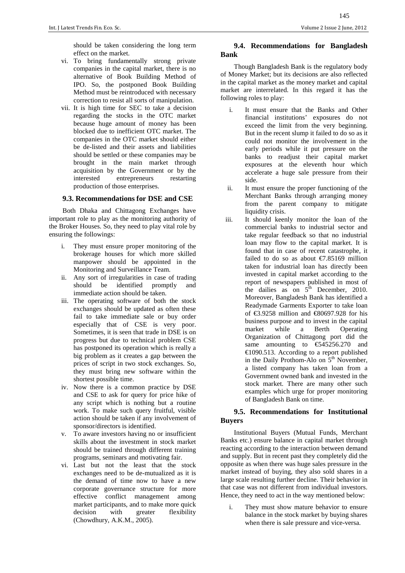should be taken considering the long term effect on the market.

- vi. To bring fundamentally strong private companies in the capital market, there is no alternative of Book Building Method of IPO. So, the postponed Book Building Method must be reintroduced with necessary correction to resist all sorts of manipulation.
- vii. It is high time for SEC to take a decision regarding the stocks in the OTC market because huge amount of money has been blocked due to inefficient OTC market. The companies in the OTC market should either be de-listed and their assets and liabilities should be settled or these companies may be brought in the main market through acquisition by the Government or by the interested entrepreneurs restarting production of those enterprises.

#### **9.3. Recommendations for DSE and CSE**

Both Dhaka and Chittagong Exchanges have important role to play as the monitoring authority of the Broker Houses. So, they need to play vital role by ensuring the followings:

- i. They must ensure proper monitoring of the brokerage houses for which more skilled manpower should be appointed in the Monitoring and Surveillance Team.
- ii. Any sort of irregularities in case of trading should be identified promptly and immediate action should be taken.
- iii. The operating software of both the stock exchanges should be updated as often these fail to take immediate sale or buy order especially that of CSE is very poor. Sometimes, it is seen that trade in DSE is on progress but due to technical problem CSE has postponed its operation which is really a big problem as it creates a gap between the prices of script in two stock exchanges. So, they must bring new software within the shortest possible time.
- iv. Now there is a common practice by DSE and CSE to ask for query for price hike of any script which is nothing but a routine work. To make such query fruitful, visible action should be taken if any involvement of sponsor/directors is identified.
- v. To aware investors having no or insufficient skills about the investment in stock market should be trained through different training programs, seminars and motivating fair.
- vi. Last but not the least that the stock exchanges need to be de-mutualized as it is the demand of time now to have a new corporate governance structure for more effective conflict management among market participants, and to make more quick decision with greater flexibility (Chowdhury, A.K.M., 2005).

#### **9.4. Recommendations for Bangladesh Bank**

Though Bangladesh Bank is the regulatory body of Money Market; but its decisions are also reflected in the capital market as the money market and capital market are interrelated. In this regard it has the following roles to play:

- i. It must ensure that the Banks and Other financial institutions' exposures do not exceed the limit from the very beginning. But in the recent slump it failed to do so as it could not monitor the involvement in the early periods while it put pressure on the banks to readjust their capital market exposures at the eleventh hour which accelerate a huge sale pressure from their side.
- ii. It must ensure the proper functioning of the Merchant Banks through arranging money from the parent company to mitigate liquidity crisis.
- iii. It should keenly monitor the loan of the commercial banks to industrial sector and take regular feedback so that no industrial loan may flow to the capital market. It is found that in case of recent catastrophe, it failed to do so as about  $\epsilon$ 7.85169 million taken for industrial loan has directly been invested in capital market according to the report of newspapers published in most of the dailies as on  $5<sup>th</sup>$  December, 2010. Moreover, Bangladesh Bank has identified a Readymade Garments Exporter to take loan of €3.9258 million and €80697.928 for his business purpose and to invest in the capital market while a Berth Operating Organization of Chittagong port did the same amounting to €545256.270 and €1090.513. According to a report published in the Daily Prothom-Alo on  $5<sup>th</sup>$  November, a listed company has taken loan from a Government owned bank and invested in the stock market. There are many other such examples which urge for proper monitoring of Bangladesh Bank on time.

## **9.5. Recommendations for Institutional Buyers**

Institutional Buyers (Mutual Funds, Merchant Banks etc.) ensure balance in capital market through reacting according to the interaction between demand and supply. But in recent past they completely did the opposite as when there was huge sales pressure in the market instead of buying, they also sold shares in a large scale resulting further decline. Their behavior in that case was not different from individual investors. Hence, they need to act in the way mentioned below:

i. They must show mature behavior to ensure balance in the stock market by buying shares when there is sale pressure and vice-versa.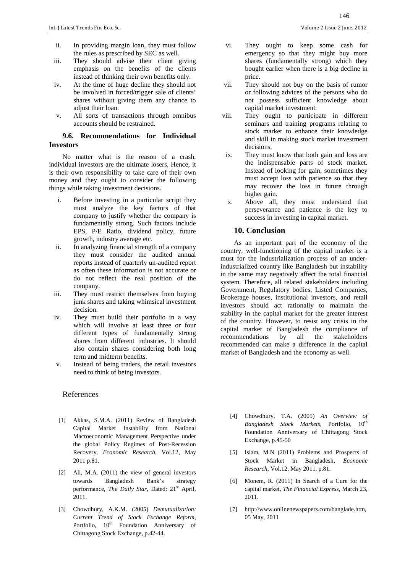- ii. In providing margin loan, they must follow the rules as prescribed by SEC as well.
- iii. They should advise their client giving emphasis on the benefits of the clients instead of thinking their own benefits only.
- iv. At the time of huge decline they should not be involved in forced/trigger sale of clients' shares without giving them any chance to adjust their loan.
- v. All sorts of transactions through omnibus accounts should be restrained.

#### **9.6. Recommendations for Individual Investors**

No matter what is the reason of a crash, individual investors are the ultimate losers. Hence, it is their own responsibility to take care of their own money and they ought to consider the following things while taking investment decisions.

- i. Before investing in a particular script they must analyze the key factors of that company to justify whether the company is fundamentally strong. Such factors include EPS, P/E Ratio, dividend policy, future growth, industry average etc.
- ii. In analyzing financial strength of a company they must consider the audited annual reports instead of quarterly un-audited report as often these information is not accurate or do not reflect the real position of the company.
- iii. They must restrict themselves from buying junk shares and taking whimsical investment decision.
- iv. They must build their portfolio in a way which will involve at least three or four different types of fundamentally strong shares from different industries. It should also contain shares considering both long term and midterm benefits.
- v. Instead of being traders, the retail investors need to think of being investors.

#### References

- [1] Akkas, S.M.A. (2011) Review of Bangladesh Capital Market Instability from National Macroeconomic Management Perspective under the global Policy Regimes of Post-Recession Recovery, *Economic Research*, Vol.12, May 2011 p.81.
- [2] Ali, M.A. (2011) the view of general investors towards Bangladesh Bank's strategy performance, *The Daily Star*, Dated: 21<sup>st</sup> April, 2011.
- [3] Chowdhury, A.K.M. (2005) *Demutualization: Current Trend of Stock Exchange Reform*, Portfolio,  $10^{th}$  Foundation Anniversary of Chittagong Stock Exchange, p.42-44.
- vi. They ought to keep some cash for emergency so that they might buy more shares (fundamentally strong) which they bought earlier when there is a big decline in price.
- vii. They should not buy on the basis of rumor or following advices of the persons who do not possess sufficient knowledge about capital market investment.
- viii. They ought to participate in different seminars and training programs relating to stock market to enhance their knowledge and skill in making stock market investment decisions.
- ix. They must know that both gain and loss are the indispensable parts of stock market. Instead of looking for gain, sometimes they must accept loss with patience so that they may recover the loss in future through higher gain.
- x. Above all, they must understand that perseverance and patience is the key to success in investing in capital market.

#### **10. Conclusion**

As an important part of the economy of the country, well-functioning of the capital market is a must for the industrialization process of an underindustrialized country like Bangladesh but instability in the same may negatively affect the total financial system. Therefore, all related stakeholders including Government, Regulatory bodies, Listed Companies, Brokerage houses, institutional investors, and retail investors should act rationally to maintain the stability in the capital market for the greater interest of the country. However, to resist any crisis in the capital market of Bangladesh the compliance of recommendations by all the stakeholders recommended can make a difference in the capital market of Bangladesh and the economy as well.

- [4] Chowdhury, T.A. (2005) *An Overview of Bangladesh Stock Markets*, Portfolio,  $10^{\text{th}}$ Foundation Anniversary of Chittagong Stock Exchange, p.45-50
- [5] Islam, M.N (2011) Problems and Prospects of Stock Market in Bangladesh, *Economic Research*, Vol.12, May 2011, p.81.
- [6] Monem, R. (2011) In Search of a Cure for the capital market, *The Financial Express*, March 23, 2011.
- [7] http://www.onlinenewspapers.com/banglade.htm, 05 May, 2011